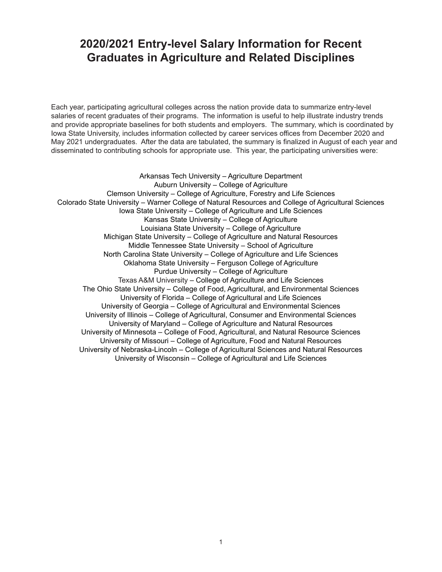# **2020/2021 Entry-level Salary Information for Recent Graduates in Agriculture and Related Disciplines**

Each year, participating agricultural colleges across the nation provide data to summarize entry-level salaries of recent graduates of their programs. The information is useful to help illustrate industry trends and provide appropriate baselines for both students and employers. The summary, which is coordinated by Iowa State University, includes information collected by career services offices from December 2020 and May 2021 undergraduates. After the data are tabulated, the summary is finalized in August of each year and disseminated to contributing schools for appropriate use. This year, the participating universities were:

Arkansas Tech University – Agriculture Department Auburn University – College of Agriculture Clemson University – College of Agriculture, Forestry and Life Sciences Colorado State University – Warner College of Natural Resources and College of Agricultural Sciences Iowa State University – College of Agriculture and Life Sciences Kansas State University – College of Agriculture Louisiana State University – College of Agriculture Michigan State University – College of Agriculture and Natural Resources Middle Tennessee State University – School of Agriculture North Carolina State University – College of Agriculture and Life Sciences Oklahoma State University – Ferguson College of Agriculture Purdue University – College of Agriculture Texas A&M University – College of Agriculture and Life Sciences The Ohio State University – College of Food, Agricultural, and Environmental Sciences University of Florida – College of Agricultural and Life Sciences University of Georgia – College of Agricultural and Environmental Sciences University of Illinois – College of Agricultural, Consumer and Environmental Sciences University of Maryland – College of Agriculture and Natural Resources University of Minnesota – College of Food, Agricultural, and Natural Resource Sciences University of Missouri – College of Agriculture, Food and Natural Resources University of Nebraska-Lincoln – College of Agricultural Sciences and Natural Resources University of Wisconsin – College of Agricultural and Life Sciences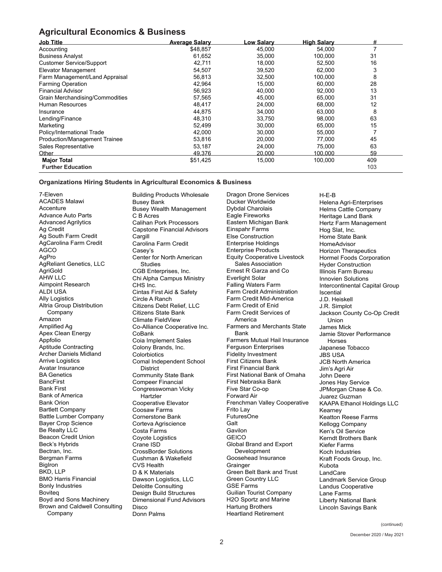## **Agricultural Economics & Business**

| <b>Job Title</b>                     | <b>Average Salary</b> | <u>Low Salarv</u> | <b>High Salary</b> | #   |
|--------------------------------------|-----------------------|-------------------|--------------------|-----|
| Accounting                           | \$48,857              | 45,000            | 54,000             |     |
| <b>Business Analyst</b>              | 61,652                | 35,000            | 100,000            | 31  |
| <b>Customer Service/Support</b>      | 42,711                | 18.000            | 52.500             | 16  |
| Elevator Management                  | 54,507                | 39,520            | 62,000             | 3   |
| Farm Management/Land Appraisal       | 56,813                | 32,500            | 100,000            | 8   |
| <b>Farming Operation</b>             | 42,964                | 15,000            | 60,000             | 28  |
| <b>Financial Advisor</b>             | 56,923                | 40,000            | 92,000             | 13  |
| Grain Merchandising/Commodities      | 57,565                | 45,000            | 65,000             | 31  |
| Human Resources                      | 48.417                | 24,000            | 68,000             | 12  |
| Insurance                            | 44.875                | 34,000            | 63,000             | 8   |
| Lending/Finance                      | 48,310                | 33,750            | 98,000             | 63  |
| Marketing                            | 52,499                | 30,000            | 65,000             | 15  |
| Policy/International Trade           | 42,000                | 30,000            | 55,000             |     |
| <b>Production/Management Trainee</b> | 53,816                | 20,000            | 77,000             | 45  |
| Sales Representative                 | 53,187                | 24,000            | 75,000             | 63  |
| Other                                | 49,376                | 20,000            | 100.000            | 59  |
| <b>Major Total</b>                   | \$51,425              | 15,000            | 100,000            | 409 |
| <b>Further Education</b>             |                       |                   |                    | 103 |

#### **Organizations Hiring Students in Agricultural Economics & Business**

7-Eleven ACADES Malawi Accenture Advance Auto Parts Advanced Agrilytics Ag Credit Ag South Farm Credit AgCarolina Farm Credit AGCO AgPro AgReliant Genetics, LLC AgriGold AHW LLC Aimpoint Research ALDI USA Ally Logistics Altria Group Distribution Company Amazon Amplified Ag Apex Clean Energy Appfolio Aptitude Contracting Archer Daniels Midland Arrive Logistics Avatar Insurance BA Genetics **BancFirst** Bank First Bank of America Bank Orion Bartlett Company Battle Lumber Company Bayer Crop Science Be Realty LLC Beacon Credit Union Beck's Hybrids Bectran, Inc. Bergman Farms BigIron BKD, LLP BMO Harris Financial Bonly Industries **Bovited** Boyd and Sons Machinery Brown and Caldwell Consulting Company

Building Products Wholesale Busey Bank Busey Wealth Management C B Acres Calihan Pork Processors Capstone Financial Advisors **Cargill** Carolina Farm Credit Casey's Center for North American **Studies** CGB Enterprises, Inc. Chi Alpha Campus Ministry CHS Inc. Cintas First Aid & Safety Circle A Ranch Citizens Debt Relief, LLC Citizens State Bank Climate FieldView Co-Alliance Cooperative Inc. CoBank Coia Implement Sales Colony Brands, Inc. **Colorbiotics** Comal Independent School District Community State Bank Compeer Financial Congresswoman Vicky Hartzler Cooperative Elevator Coosaw Farms Cornerstone Bank Corteva Agriscience Costa Farms Coyote Logistics Crane ISD CrossBorder Solutions Cushman & Wakefield CVS Health D & K Materials Dawson Logistics, LLC Deloitte Consulting Design Build Structures Dimensional Fund Advisors Disco Donn Palms

Dragon Drone Services Ducker Worldwide Dybdal Charolais Eagle Fireworks Eastern Michigan Bank Einspahr Farms Else Construction Enterprise Holdings Enterprise Products Equity Cooperative Livestock Sales Association Ernest R Garza and Co Everlight Solar Falling Waters Farm Farm Credit Administration Farm Credit Mid-America Farm Credit of Enid Farm Credit Services of America Farmers and Merchants State Bank Farmers Mutual Hail Insurance Ferguson Enterprises Fidelity Investment First Citizens Bank First Financial Bank First National Bank of Omaha First Nebraska Bank Five Star Co-op Forward Air Frenchman Valley Cooperative Frito Lay FuturesOne Galt Gavilon **GEICO** Global Brand and Export Development Goosehead Insurance Grainger Green Belt Bank and Trust Green Country LLC GSE Farms Guilian Tourist Company H2O Sportz and Marine Hartung Brothers Heartland Retirement

H-E-B Helena Agri-Enterprises Helms Cattle Company Heritage Land Bank Hertz Farm Management Hog Slat, Inc. Home State Bank **HomeAdvisor** Horizon Therapeutics Hormel Foods Corporation Hyder Construction Illinois Farm Bureau Innovien Solutions Intercontinental Capital Group Iscential J.D. Heiskell J.R. Simplot Jackson County Co-Op Credit Union James Mick Jamie Stover Performance Horses Japanese Tobacco JBS USA JCB North America Jim's Agri Air John Deere Jones Hay Service JPMorgan Chase & Co. Juarez Guzman KAAPA Ethanol Holdings LLC Kearney Keatton Reese Farms Kellogg Company Ken's Oil Service Kerndt Brothers Bank Kiefer Farms Koch Industries Kraft Foods Group, Inc. Kubota **LandCare** Landmark Service Group Landus Cooperative Lane Farms Liberty National Bank Lincoln Savings Bank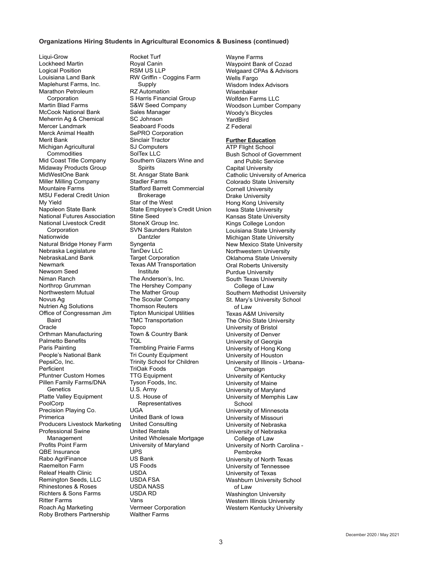#### **Organizations Hiring Students in Agricultural Economics & Business (continued)**

Liqui-Grow Lockheed Martin Logical Position Louisiana Land Bank Maplehurst Farms, Inc. Marathon Petroleum **Corporation** Martin Blad Farms McCook National Bank Meherrin Ag & Chemical Mercer Landmark Merck Animal Health Merit Bank Michigan Agricultural **Commodities** Mid Coast Title Company Midaway Products Group MidWestOne Bank Miller Milling Company Mountaire Farms MSU Federal Credit Union My Yield Napoleon State Bank National Futures Association National Livestock Credit Corporation Nationwide Natural Bridge Honey Farm Nebraska Legislature NebraskaLand Bank Newmark Newsom Seed Niman Ranch Northrop Grumman Northwestern Mutual Novus Ag Nutrien Ag Solutions Office of Congressman Jim **Baird** Oracle Orthman Manufacturing Palmetto Benefits Paris Painting People's National Bank PepsiCo, Inc. Perficient Pfuntner Custom Homes Pillen Family Farms/DNA **Genetics** Platte Valley Equipment PoolCorp Precision Playing Co. Primerica Producers Livestock Marketing Professional Swine Management Profits Point Farm QBE Insurance Rabo AgriFinance Raemelton Farm Releaf Health Clinic Remington Seeds, LLC Rhinestones & Roses Richters & Sons Farms Ritter Farms Roach Ag Marketing Roby Brothers Partnership

Rocket Turf Royal Canin RSM US LLP RW Griffin - Coggins Farm Supply RZ Automation S Harris Financial Group S&W Seed Company Sales Manager SC Johnson Seaboard Foods SePRO Corporation Sinclair Tractor SJ Computers SolTex LLC Southern Glazers Wine and Spirits St. Ansgar State Bank Stadler Farms Stafford Barrett Commercial Brokerage Star of the West State Employee's Credit Union Stine Seed StoneX Group Inc. SVN Saunders Ralston Dantzler **Syngenta** TanDev LLC **Target Corporation** Texas AM Transportation Institute The Anderson's, Inc. The Hershey Company The Mather Group The Scoular Company Thomson Reuters Tipton Municipal Utilities TMC Transportation Topco Town & Country Bank TQL Trembling Prairie Farms Tri County Equipment Trinity School for Children TriOak Foods TTG Equipment Tyson Foods, Inc. U.S. Army U.S. House of Representatives UGA United Bank of Iowa United Consulting United Rentals United Wholesale Mortgage University of Maryland UPS US Bank US Foods USDA USDA FSA USDA NASS USDA RD Vans Vermeer Corporation

Walther Farms

Wayne Farms Waypoint Bank of Cozad Welgaard CPAs & Advisors Wells Fargo Wisdom Index Advisors Wisenbaker Wolfden Farms LLC Woodson Lumber Company Woody's Bicycles YardBird Z Federal

#### **Further Education**

ATP Flight School Bush School of Government and Public Service Capital University Catholic University of America Colorado State University Cornell University Drake University Hong Kong University Iowa State University Kansas State University Kings College London Louisiana State University Michigan State University New Mexico State University Northwestern University Oklahoma State University Oral Roberts University Purdue University South Texas University College of Law Southern Methodist University St. Mary's University School of Law Texas A&M University The Ohio State University University of Bristol University of Denver University of Georgia University of Hong Kong University of Houston University of Illinois - Urbana-Champaign University of Kentucky University of Maine University of Maryland University of Memphis Law School University of Minnesota University of Missouri University of Nebraska University of Nebraska College of Law University of North Carolina - Pembroke University of North Texas University of Tennessee University of Texas Washburn University School of Law Washington University Western Illinois University Western Kentucky University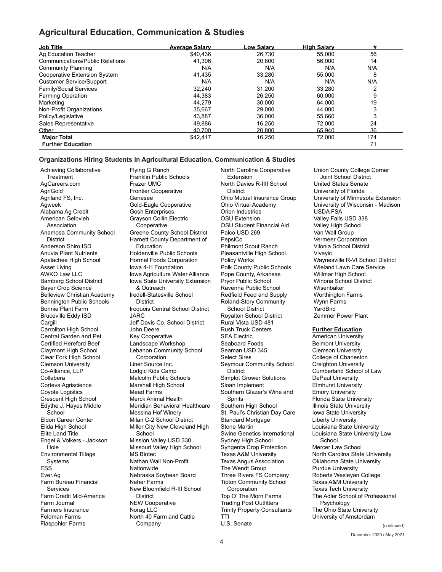## **Agricultural Education, Communication & Studies**

| <b>Job Title</b>                       | <b>Average Salary</b> | Low Salary | <b>High Salary</b> | #   |
|----------------------------------------|-----------------------|------------|--------------------|-----|
| Ag Education Teacher                   | \$40.436              | 26,730     | 55.000             | 56  |
| <b>Communications/Public Relations</b> | 41.306                | 20.800     | 56.000             | 14  |
| <b>Community Planning</b>              | N/A                   | N/A        | N/A                | N/A |
| Cooperative Extension System           | 41,435                | 33.280     | 55.000             | 8   |
| <b>Customer Service/Support</b>        | N/A                   | N/A        | N/A                | N/A |
| Family/Social Services                 | 32,240                | 31.200     | 33.280             | ⌒   |
| <b>Farming Operation</b>               | 44,383                | 26.250     | 60.000             | 9   |
| Marketing                              | 44,279                | 30,000     | 64.000             | 19  |
| Non-Profit Organizations               | 35,667                | 29,000     | 44.000             | 3   |
| Policy/Legislative                     | 43.887                | 36,000     | 55.660             | 3   |
| Sales Representative                   | 49,886                | 16.250     | 72,000             | 24  |
| Other                                  | 40.700                | 20.800     | 65.940             | 36  |
| <b>Major Total</b>                     | \$42,417              | 16,250     | 72,000             | 174 |
| <b>Further Education</b>               |                       |            |                    | 71  |

#### **Organizations Hiring Students in Agricultural Education, Communication & Studies**

Achieving Collaborative **Treatment** AgCareers.com AgriGold Agriland FS, Inc. Agweek Alabama Ag Credit American Gelbvieh Association Anamosa Community School **District** Anderson Shiro ISD Anuvia Plant Nutrients Apalachee High School Asset Living AWKO Law LLC Bamberg School District Bayer Crop Science Belleview Christian Academy Bennington Public Schools Bonnie Plant Farm Bruceville Eddy ISD **Cargill** Carrollton High School Central Garden and Pet Certified Hereford Beef Claymont High School Clear Fork High School Clemson University Co-Alliance, LLP Collabera Corteva Agriscience Coyote Logistics Crescent High School Edythe J. Hayes Middle School Eldon Career Center Elida High School Elite Land Title Engel & Volkers - Jackson Hole Environmental Tillage Systems ESS Ever.Ag Farm Bureau Financial **Services** Farm Credit Mid-America Farm Journal Farmers Insurance Feldman Farms Flaspohler Farms

Flying G Ranch Franklin Public Schools Frazer UMC Frontier Cooperative Genesee Gold-Eagle Cooperative Gosh Enterprises Grayson Collin Electric **Cooperative** Greene County School District Harnett County Department of Education Holdenville Public Schools Hormel Foods Corporation Iowa 4-H Foundation Iowa Agriculture Water Alliance Iowa State University Extension & Outreach Iredell-Statesville School **District** Iroquois Central School District JARC Jeff Davis Co. School District John Deere Key Cooperative Landscape Workshop Lebanon Community School Corporation Liner Source Inc. Lodgic Kids Camp Malcolm Public Schools Marshall High School Mead Farms Merck Animal Health Meridian Behavioral Healthcare Messina Hof Winery Milan C-2 School District Miller City New Cleveland High School Mission Valley USD 330 Missouri Valley High School MS Biotec Nathan Wall Non-Profit Nationwide Nebraska Soybean Board Neher Farms New Bloomfield R-III School **District** NEW Cooperative Norag LLC North 40 Farm and Cattle

Company

North Carolina Cooperative Extension North Davies R-IIII School **District** Ohio Mutual Insurance Group Ohio Virtual Academy Orion Industries OSU Extension OSU Student Financial Aid Palco USD 269 PepsiCo Philmont Scout Ranch Pleasantville High School Policy Works Polk County Public Schools Pope County, Arkansas Pryor Public School Ravenna Public School Redfield Feed and Supply Roland-Story Community School District Royalton School District Rural Vista USD 481 Rush Truck Centers SEA Electric Seaboard Foods Seaman USD 345 Select Sires Seymour Community School **District** Simplot Grower Solutions Sloan Implement Southern Glazer's Wine and **Spirits** Southern High School St. Paul's Christian Day Care Standard Mortgage Stone Martin Swine Genetics International Sydney High School Syngenta Crop Protection Texas A&M University Texas Angus Association The Wendt Group Three Rivers FS Company Tipton Community School Corporation Top O' The Morn Farms Trading Post Outfitters Trinity Property Consultants TTI U.S. Senate

Union County College Corner Joint School District United States Senate University of Florida University of Minnesota Extension University of Wisconsin - Madison USDA FSA Valley Falls USD 338 Valley High School Van Wall Group Vermeer Corporation Vilonia School District Vivayic Waynesville R-VI School District Wieland Lawn Care Service Willmar High School Winona School District Wisenbaker Worthington Farms Wynn Farms YardBird Zemmer Power Plant

#### **Further Education**

American University Belmont University Clemson University College of Charleston Creighton University Cumberland School of Law DePaul University Elmhurst University Emory University Florida State University Illinois State University Iowa State University Liberty University Louisiana State University Louisiana State University Law School Mercer Law School North Carolina State University Oklahoma State University Purdue University Roberts Wesleyan College Texas A&M University Texas Tech University The Adler School of Professional Psychology The Ohio State University University of Amsterdam

December 2020 / May 2021 (continued)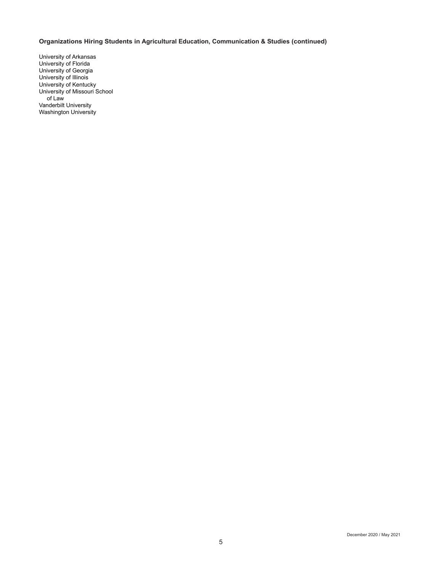## **Organizations Hiring Students in Agricultural Education, Communication & Studies (continued)**

University of Arkansas University of Florida University of Georgia University of Illinois University of Kentucky University of Missouri School of Law Vanderbilt University Washington University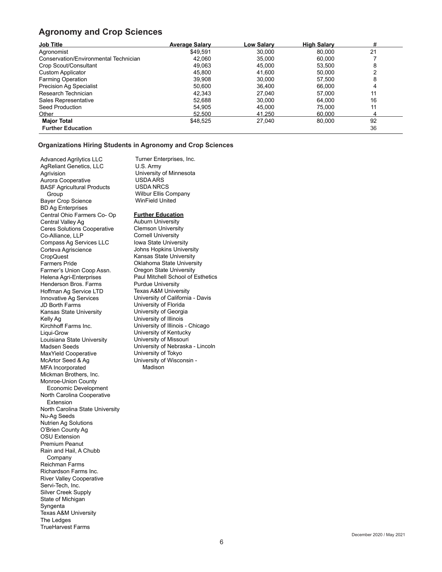## **Agronomy and Crop Sciences**

| <b>Job Title</b>                      | <b>Average Salary</b> | <u>_ow Salary</u> | <b>High Salary</b> | #  |
|---------------------------------------|-----------------------|-------------------|--------------------|----|
| Agronomist                            | \$49.591              | 30,000            | 80.000             | 21 |
| Conservation/Environmental Technician | 42,060                | 35,000            | 60,000             |    |
| Crop Scout/Consultant                 | 49.063                | 45.000            | 53.500             | 8  |
| Custom Applicator                     | 45,800                | 41,600            | 50,000             |    |
| <b>Farming Operation</b>              | 39,908                | 30.000            | 57.500             | 8  |
| <b>Precision Ag Specialist</b>        | 50,600                | 36,400            | 66.000             | 4  |
| Research Technician                   | 42.343                | 27.040            | 57.000             | 11 |
| Sales Representative                  | 52.688                | 30.000            | 64.000             | 16 |
| Seed Production                       | 54,905                | 45,000            | 75.000             | 11 |
| Other                                 | 52,500                | 41.250            | 60.000             |    |
| <b>Major Total</b>                    | \$48,525              | 27,040            | 80,000             | 92 |
| <b>Further Education</b>              |                       |                   |                    | 36 |

### **Organizations Hiring Students in Agronomy and Crop Sciences**

Advanced Agrilytics LLC AgReliant Genetics, LLC Agrivision Aurora Cooperative BASF Agricultural Products Group Bayer Crop Science BD Ag Enterprises Central Ohio Farmers Co- Op Central Valley Ag Ceres Solutions Cooperative Co-Alliance, LLP Compass Ag Services LLC Corteva Agriscience CropQuest Farmers Pride Farmer's Union Coop Assn. Helena Agri-Enterprises Henderson Bros. Farms Hoffman Ag Service LTD Innovative Ag Services JD Borth Farms Kansas State University Kelly Ag Kirchhoff Farms Inc. Liqui-Grow Louisiana State University Madsen Seeds MaxYield Cooperative McArtor Seed & Ag MFA Incorporated Mickman Brothers, Inc. Monroe-Union County Economic Development North Carolina Cooperative Extension North Carolina State University Nu-Ag Seeds Nutrien Ag Solutions O'Brien County Ag OSU Extension Premium Peanut Rain and Hail, A Chubb Company Reichman Farms Richardson Farms Inc. River Valley Cooperative Servi-Tech, Inc. Silver Creek Supply State of Michigan Syngenta Texas A&M University The Ledges TrueHarvest Farms

Turner Enterprises, Inc. U.S. Army University of Minnesota USDA ARS USDA NRCS Wilbur Ellis Company WinField United **Further Education**

Auburn University Clemson University Cornell University Iowa State University Johns Hopkins University Kansas State University Oklahoma State University Oregon State University Paul Mitchell School of Esthetics Purdue University Texas A&M University University of California - Davis University of Florida University of Georgia University of Illinois University of Illinois - Chicago University of Kentucky University of Missouri University of Nebraska - Lincoln University of Tokyo University of Wisconsin - Madison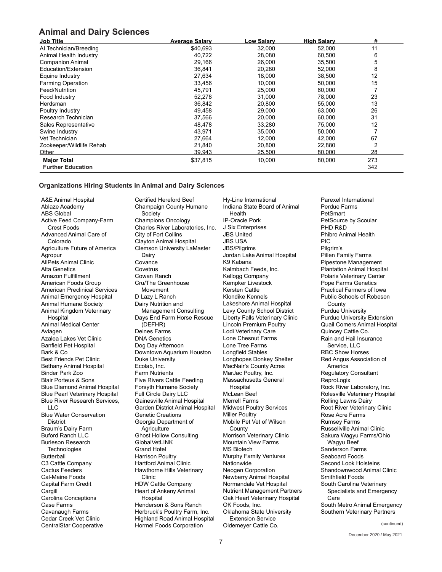## **Animal and Dairy Sciences**

| <b>Job Title</b>         | <b>Average Salary</b> | <b>Low Salary</b> | <b>High Salary</b> | #   |
|--------------------------|-----------------------|-------------------|--------------------|-----|
| Al Technician/Breeding   | \$40,693              | 32,000            | 52,000             | 11  |
| Animal Health Industry   | 40,722                | 28,080            | 60,500             | 6   |
| <b>Companion Animal</b>  | 29,166                | 26,000            | 35,500             | 5   |
| Education/Extension      | 36,841                | 20,280            | 52,000             | 8   |
| Equine Industry          | 27,634                | 18,000            | 38,500             | 12  |
| <b>Farming Operation</b> | 33,456                | 10,000            | 50,000             | 15  |
| Feed/Nutrition           | 45,791                | 25,000            | 60,000             |     |
| Food Industry            | 52,278                | 31,000            | 78,000             | 23  |
| Herdsman                 | 36,842                | 20.800            | 55,000             | 13  |
| Poultry Industry         | 49,458                | 29,000            | 63,000             | 26  |
| Research Technician      | 37,566                | 20,000            | 60,000             | 31  |
| Sales Representative     | 48,478                | 33,280            | 75,000             | 12  |
| Swine Industry           | 43,971                | 35,000            | 50,000             |     |
| Vet Technician           | 27,664                | 12,000            | 42,000             | 67  |
| Zookeeper/Wildlife Rehab | 21,840                | 20,800            | 22,880             | 2   |
| Other                    | 39.943                | 25.500            | 80,000             | 28  |
| <b>Major Total</b>       | \$37,815              | 10,000            | 80,000             | 273 |
| <b>Further Education</b> |                       |                   |                    | 342 |

#### **Organizations Hiring Students in Animal and Dairy Sciences**

A&E Animal Hospital Ablaze Academy ABS Global Active Feed Company-Farm Crest Foods Advanced Animal Care of Colorado Agriculture Future of America Agropur AllPets Animal Clinic Alta Genetics Amazon Fulfillment American Foods Group American Preclinical Services Animal Emergency Hospital Animal Humane Society Animal Kingdom Veterinary **Hospital** Animal Medical Center Aviagen Azalea Lakes Vet Clinic Banfield Pet Hospital Bark & Co Best Friends Pet Clinic Bethany Animal Hospital Binder Park Zoo Blair Porteus & Sons Blue Diamond Animal Hospital Blue Pearl Veterinary Hospital Blue River Research Services, LLC Blue Water Conservation District Braum's Dairy Farm Buford Ranch LLC Burleson Research **Technologies** Butterball C3 Cattle Company Cactus Feeders Cal-Maine Foods Capital Farm Credit Cargill Carolina Conceptions Case Farms Cavanaugh Farms Cedar Creek Vet Clinic

CentralStar Cooperative

Certified Hereford Beef Champaign County Humane Society Champions Oncology Charles River Laboratories, Inc. City of Fort Collins Clayton Animal Hospital Clemson University LaMaster Dairy **Covance Covetrus** Cowan Ranch Cru/The Greenhouse Movement D Lazy L Ranch Dairy Nutrition and Management Consulting Days End Farm Horse Rescue (DEFHR) Deines Farms DNA Genetics Dog Day Afternoon Downtown Aquarium Houston Duke University Ecolab, Inc. Farm Nutrients Five Rivers Cattle Feeding Forsyth Humane Society Full Circle Dairy LLC Gainesville Animal Hospital Garden District Animal Hospital Genetic Creations Georgia Department of **Agriculture** Ghost Hollow Consulting **GlobalVetLINK** Grand Hotel Harrison Poultry Hartford Animal Clinic Hawthorne Hills Veterinary Clinic HDW Cattle Company Heart of Ankeny Animal Hospital Henderson & Sons Ranch Herbruck's Poultry Farm, Inc. Highland Road Animal Hospital Hormel Foods Corporation

Hy-Line International Indiana State Board of Animal Health IP-Oracle Pork J Six Enterprises JBS United JBS USA JBS/Pilgrims Jordan Lake Animal Hospital K9 Kabana Kalmbach Feeds, Inc. Kellogg Company Kempker Livestock Kersten Cattle Klondike Kennels Lakeshore Animal Hospital Levy County School District Liberty Falls Veterinary Clinic Lincoln Premium Poultry Lodi Veterinary Care Lone Chesnut Farms Lone Tree Farms Longfield Stables Longhopes Donkey Shelter MacNair's County Acres MarJac Poultry, Inc. Massachusetts General **Hospital** McLean Beef Merrell Farms Midwest Poultry Services Miller Poultry Mobile Pet Vet of Wilson **County** Morrison Veterinary Clinic Mountain View Farms MS Biotech Murphy Family Ventures Nationwide Neogen Corporation Newberry Animal Hospital Normandale Vet Hospital Nutrient Management Partners Oak Heart Veterinary Hospital OK Foods, Inc. Oklahoma State University Extension Service Oldemeyer Cattle Co.

Parexel International Perdue Farms **PetSmart** PetSource by Scoular PHD R&D Phibro Animal Health PIC Pilgrim's Pillen Family Farms Pipestone Management Plantation Animal Hospital Polaris Veterinary Center Pope Farms Genetics Practical Farmers of Iowa Public Schools of Robeson County Purdue University Purdue University Extension Quail Comers Animal Hospital Quincey Cattle Co. Rain and Hail Insurance Service, LLC RBC Show Horses Red Angus Association of America Regulatory Consultant **ReproLogix** Rock River Laboratory, Inc. Rolesville Veterinary Hospital Rolling Lawns Dairy Root River Veterinary Clinic Rose Acre Farms Rumsey Farms Russellville Animal Clinic Sakura Wagyu Farms/Ohio Wagyu Beef Sanderson Farms Seaboard Foods Second Look Holsteins Shandownwood Animal Clinic Smithfield Foods South Carolina Veterinary Specialists and Emergency Care South Metro Animal Emergency Southern Veterinary Partners

(continued)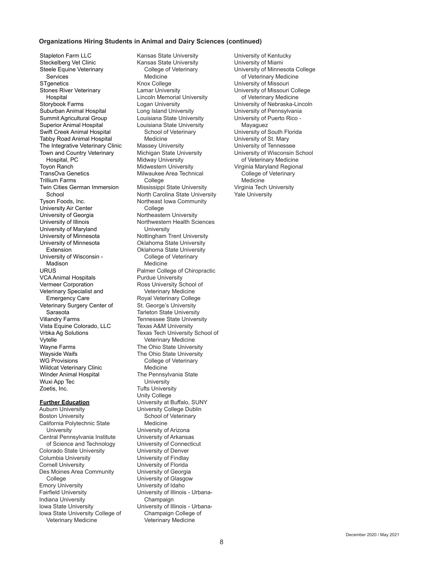#### **Organizations Hiring Students in Animal and Dairy Sciences (continued)**

Stapleton Farm LLC Steckelberg Vet Clinic Steele Equine Veterinary Services **STgenetics** Stones River Veterinary **Hospital** Storybook Farms Suburban Animal Hospital Summit Agricultural Group Superior Animal Hospital Swift Creek Animal Hospital Tabby Road Animal Hospital The Integrative Veterinary Clinic Town and Country Veterinary Hospital, PC Toyon Ranch TransOva Genetics Trillium Farms Twin Cities German Immersion School Tyson Foods, Inc. University Air Center University of Georgia University of Illinois University of Maryland University of Minnesota University of Minnesota Extension University of Wisconsin - Madison URUS VCA Animal Hospitals Vermeer Corporation Veterinary Specialist and Emergency Care Veterinary Surgery Center of Sarasota Villandry Farms Vista Equine Colorado, LLC Vrbka Ag Solutions Vytelle Wayne Farms Wayside Waifs WG Provisions Wildcat Veterinary Clinic Winder Animal Hospital Wuxi App Tec Zoetis, Inc.

#### **Further Education**

Auburn University Boston University California Polytechnic State **University** Central Pennsylvania Institute of Science and Technology Colorado State University Columbia University Cornell University Des Moines Area Community College Emory University Fairfield University Indiana University Iowa State University Iowa State University College of Veterinary Medicine

Kansas State University Kansas State University College of Veterinary **Medicine** Knox College Lamar University Lincoln Memorial University Logan University Long Island University Louisiana State University Louisiana State University School of Veterinary Medicine Massey University Michigan State University Midway University Midwestern University Milwaukee Area Technical College Mississippi State University North Carolina State University Northeast Iowa Community **College** Northeastern University Northwestern Health Sciences **University** Nottingham Trent University Oklahoma State University Oklahoma State University College of Veterinary Medicine Palmer College of Chiropractic Purdue University Ross University School of Veterinary Medicine Royal Veterinary College St. George's University Tarleton State University Tennessee State University Texas A&M University Texas Tech University School of Veterinary Medicine The Ohio State University The Ohio State University College of Veterinary Medicine The Pennsylvania State **University** Tufts University Unity College University at Buffalo, SUNY University College Dublin School of Veterinary Medicine University of Arizona University of Arkansas University of Connecticut University of Denver University of Findlay University of Florida University of Georgia University of Glasgow University of Idaho University of Illinois - Urbana-Champaign University of Illinois - Urbana-Champaign College of Veterinary Medicine

University of Kentucky University of Miami University of Minnesota College of Veterinary Medicine University of Missouri University of Missouri College of Veterinary Medicine University of Nebraska-Lincoln University of Pennsylvania University of Puerto Rico - Mayaguez University of South Florida University of St. Mary University of Tennessee University of Wisconsin School of Veterinary Medicine Virginia Maryland Regional College of Veterinary Medicine Virginia Tech University Yale University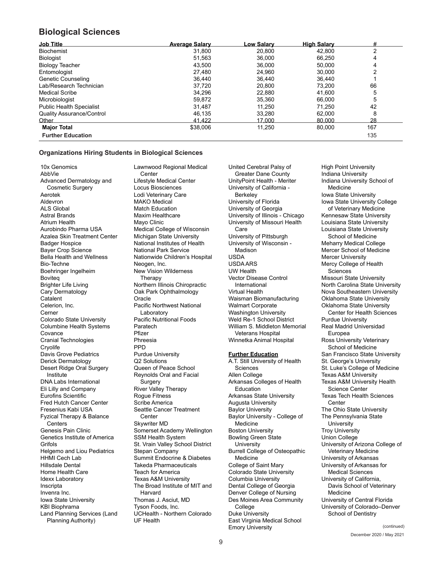## **Biological Sciences**

| <b>Job Title</b>                 | <b>Average Salary</b> | <b>Low Salarv</b> | <b>High Salary</b> | #   |
|----------------------------------|-----------------------|-------------------|--------------------|-----|
| <b>Biochemist</b>                | 31.800                | 20.800            | 42.800             |     |
| Biologist                        | 51,563                | 36,000            | 66.250             | 4   |
| <b>Biology Teacher</b>           | 43.500                | 36.000            | 50.000             | 4   |
| Entomologist                     | 27.480                | 24.960            | 30.000             | ⌒   |
| <b>Genetic Counseling</b>        | 36.440                | 36.440            | 36.440             |     |
| Lab/Research Technician          | 37.720                | 20.800            | 73.200             | 66  |
| <b>Medical Scribe</b>            | 34,296                | 22.880            | 41,600             | 5   |
| Microbiologist                   | 59.872                | 35.360            | 66,000             | 5   |
| <b>Public Health Specialist</b>  | 31.487                | 11.250            | 71.250             | 42  |
| <b>Quality Assurance/Control</b> | 46.135                | 33.280            | 62,000             | 8   |
| Other                            | 41.422                | 17.000            | 80,000             | 28  |
| <b>Major Total</b>               | \$38,006              | 11,250            | 80.000             | 167 |
| <b>Further Education</b>         |                       |                   |                    | 135 |

#### **Organizations Hiring Students in Biological Sciences**

10x Genomics AbbVie Advanced Dermatology and Cosmetic Surgery Aerotek Aldevron ALS Global Astral Brands Atrium Health Aurobindo Pharma USA Azalea Skin Treatment Center Badger Hospice Bayer Crop Science Bella Health and Wellness Bio-Techne Boehringer Ingelheim Boviteq Brighter Life Living Cary Dermatology Catalent Celerion, Inc. Cerner Colorado State University Columbine Health Systems Covance Cranial Technologies **Crvolife** Davis Grove Pediatrics Derick Dermatology Desert Ridge Oral Surgery Institute DNA Labs International Eli Lilly and Company Eurofins Scientific Fred Hutch Cancer Center Fresenius Kabi USA Fyzical Therapy & Balance **Centers** Genesis Pain Clinic Genetics Institute of America Grifols Helgemo and Liou Pediatrics HHMI Cech Lab Hillsdale Dental Home Health Care Idexx Laboratory Inscripta Invenra Inc. Iowa State University KBI Biophrama Land Planning Services (Land Planning Authority)

Lawnwood Regional Medical **Center** Lifestyle Medical Center Locus Biosciences Lodi Veterinary Care MAKO Medical Match Education Maxim Healthcare Mayo Clinic Medical College of Wisconsin Michigan State University National Institutes of Health National Park Service Nationwide Children's Hospital Neogen, Inc. New Vision Wilderness **Therapy** Northern Illinois Chiropractic Oak Park Ophthalmology Oracle Pacific Northwest National Laboratory Pacific Nutritional Foods Paratech Pfizer Phreesia **PPD** Purdue University Q2 Solutions Queen of Peace School Reynolds Oral and Facial **Surgery** River Valley Therapy Rogue Fitness Scribe America Seattle Cancer Treatment Center Skywriter MD Somerset Academy Wellington SSM Health System St. Vrain Valley School District Stepan Company Summit Endocrine & Diabetes Takeda Pharmaceuticals Teach for America Texas A&M University The Broad Institute of MIT and Harvard Thomas J. Asciut, MD Tyson Foods, Inc. UCHealth - Northern Colorado UF Health

United Cerebral Palsy of Greater Dane County UnityPoint Health - Meriter University of California - **Berkeley** University of Florida University of Georgia University of Illinois - Chicago University of Missouri Health Care University of Pittsburgh University of Wisconsin - Madison USDA USDA ARS UW Health Vector Disease Control International Virtual Health Waisman Biomanufacturing Walmart Corporate Washington University Weld Re-1 School District William S. Middleton Memorial Veterans Hospital Winnetka Animal Hospital **Further Education** A.T. Still University of Health **Sciences** Allen College Arkansas Colleges of Health Education Arkansas State University Augusta University Baylor University Baylor University - College of Medicine Boston University Bowling Green State **University** Burrell College of Osteopathic Medicine

College of Saint Mary Colorado State University Columbia University Dental College of Georgia Denver College of Nursing Des Moines Area Community

East Virginia Medical School

College Duke University

Emory University

High Point University Indiana University Indiana University School of Medicine Iowa State University Iowa State University College of Veterinary Medicine Kennesaw State University Louisiana State University Louisiana State University School of Medicine Meharry Medical College Mercer School of Medicine Mercer University Mercy College of Health Sciences Missouri State University North Carolina State University Nova Southeastern University Oklahoma State University Oklahoma State University Center for Health Sciences Purdue University Real Madrid Universidad Europea Ross University Veterinary School of Medicine San Francisco State University St. George's University St. Luke's College of Medicine Texas A&M University Texas A&M University Health Science Center Texas Tech Health Sciences Center The Ohio State University The Pennsylvania State **University** Troy University Union College University of Arizona College of Veterinary Medicine University of Arkansas University of Arkansas for Medical Sciences University of California, Davis School of Veterinary Medicine University of Central Florida University of Colorado–Denver School of Dentistry

> December 2020 / May 2021 (continued)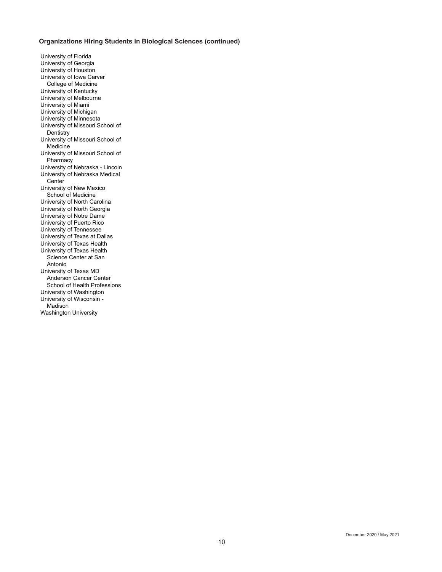### **Organizations Hiring Students in Biological Sciences (continued)**

University of Florida University of Georgia University of Houston University of Iowa Carver College of Medicine University of Kentucky University of Melbourne University of Miami University of Michigan University of Minnesota University of Missouri School of **Dentistry** University of Missouri School of Medicine University of Missouri School of **Pharmacy** University of Nebraska - Lincoln University of Nebraska Medical Center University of New Mexico School of Medicine University of North Carolina University of North Georgia University of Notre Dame University of Puerto Rico University of Tennessee University of Texas at Dallas University of Texas Health University of Texas Health Science Center at San Antonio University of Texas MD Anderson Cancer Center School of Health Professions University of Washington University of Wisconsin - Madison Washington University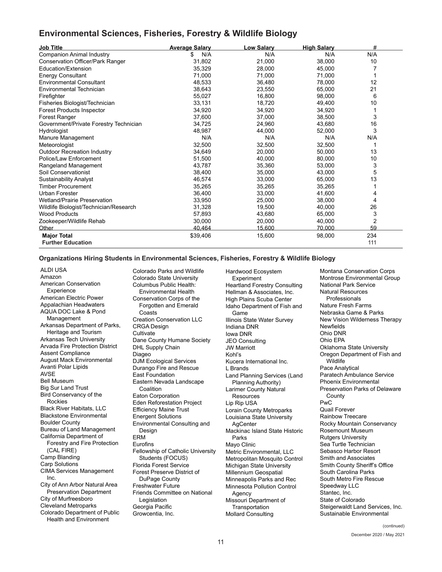## **Environmental Sciences, Fisheries, Forestry & Wildlife Biology**

| <b>Job Title</b>                       | <b>Average Salary</b> | <b>Low Salary</b> | <b>High Salary</b> | #   |
|----------------------------------------|-----------------------|-------------------|--------------------|-----|
| <b>Companion Animal Industry</b>       | N/A<br>\$             | N/A               | N/A                | N/A |
| Conservation Officer/Park Ranger       | 31,802                | 21,000            | 38,000             | 10  |
| Education/Extension                    | 35,329                | 28,000            | 45,000             |     |
| <b>Energy Consultant</b>               | 71,000                | 71,000            | 71,000             |     |
| <b>Environmental Consultant</b>        | 48,533                | 36,480            | 78,000             | 12  |
| Environmental Technician               | 38,643                | 23,550            | 65,000             | 21  |
| Firefighter                            | 55,027                | 16.800            | 98,000             | 6   |
| Fisheries Biologist/Technician         | 33,131                | 18.720            | 49,400             | 10  |
| Forest Products Inspector              | 34,920                | 34,920            | 34,920             |     |
| Forest Ranger                          | 37,600                | 37,000            | 38,500             | 3   |
| Government/Private Forestry Technician | 34,725                | 24,960            | 43,680             | 16  |
| Hydrologist                            | 48,987                | 44,000            | 52,000             | 3   |
| Manure Management                      | N/A                   | N/A               | N/A                | N/A |
| Meteorologist                          | 32,500                | 32,500            | 32,500             |     |
| <b>Outdoor Recreation Industry</b>     | 34,649                | 20,000            | 50,000             | 13  |
| Police/Law Enforcement                 | 51,500                | 40,000            | 80,000             | 10  |
| Rangeland Management                   | 43,787                | 35,360            | 53,000             | 3   |
| Soil Conservationist                   | 38,400                | 35,000            | 43,000             | 5   |
| <b>Sustainability Analyst</b>          | 46,574                | 33,000            | 65,000             | 13  |
| <b>Timber Procurement</b>              | 35,265                | 35,265            | 35,265             |     |
| <b>Urban Forester</b>                  | 36,400                | 33,000            | 41,600             | 4   |
| <b>Wetland/Prairie Preservation</b>    | 33,950                | 25,000            | 38,000             | 4   |
| Wildlife Biologist/Technician/Research | 31,328                | 19,500            | 40,000             | 26  |
| <b>Wood Products</b>                   | 57,893                | 43,680            | 65,000             | 3   |
| Zookeeper/Wildlife Rehab               | 30,000                | 20,000            | 40,000             | 2   |
| Other                                  | 40.464                | 15,600            | 70,000             | 59  |
| <b>Major Total</b>                     | \$39,406              | 15,600            | 98,000             | 234 |
| <b>Further Education</b>               |                       |                   |                    | 111 |

#### **Organizations Hiring Students in Environmental Sciences, Fisheries, Forestry & Wildlife Biology**

Colorado Parks and Wildlife

ALDI USA Amazon American Conservation **Experience** American Electric Power Appalachian Headwaters AQUA DOC Lake & Pond Management Arkansas Department of Parks, Heritage and Tourism Arkansas Tech University Arvada Fire Protection District Assent Compliance August Mack Environmental Avanti Polar Lipids AVSE Bell Museum Big Sur Land Trust Bird Conservancy of the Rockies Black River Habitats, LLC Blackstone Environmental Boulder County Bureau of Land Management California Department of Forestry and Fire Protection (CAL FIRE) Camp Blanding Carp Solutions CIMA Services Management Inc. City of Ann Arbor Natural Area Preservation Department City of Murfreesboro Cleveland Metroparks Colorado Department of Public Health and Environment

Colorado State University Columbus Public Health: Environmental Health Conservation Corps of the Forgotten and Emerald Coasts Creation Conservation LLC CRGA Design **Cultivate** Dane County Humane Society DHL Supply Chain Diageo DJM Ecological Services Durango Fire and Rescue East Foundation Eastern Nevada Landscape **Coalition** Eaton Corporation Eden Reforestation Project Efficiency Maine Trust Energent Solutions Environmental Consulting and Design ERM Eurofins Fellowship of Catholic University Students (FOCUS) Florida Forest Service Forest Preserve District of DuPage County Freshwater Future Friends Committee on National Legislation Georgia Pacific Growcentia, Inc.

Hardwood Ecosystem Experiment Heartland Forestry Consulting Hellman & Associates, Inc. High Plains Scuba Center Idaho Department of Fish and Game Illinois State Water Survey Indiana DNR Iowa DNR JEO Consulting JW Marriott Kohl's Kucera International Inc. L Brands Land Planning Services (Land Planning Authority) Larimer County Natural Resources Lip Rip USA Lorain County Metroparks Louisiana State University **AgCenter** Mackinac Island State Historic Parks Mayo Clinic Metric Environmental, LLC Metropolitan Mosquito Control Michigan State University Millennium Geospatial Minneapolis Parks and Rec Minnesota Pollution Control Agency Missouri Department of **Transportation** Mollard Consulting

Montana Conservation Corps Montrose Environmental Group National Park Service Natural Resources Professionals Nature Fresh Farms Nebraska Game & Parks New Vision Wilderness Therapy Newfields Ohio DNR Ohio EPA Oklahoma State University Oregon Department of Fish and **Wildlife** Pace Analytical Paratech Ambulance Service Phoenix Environmental Preservation Parks of Delaware **County** PwC Quail Forever Rainbow Treecare Rocky Mountain Conservancy Rosemount Museum Rutgers University Sea Turtle Technician Sebasco Harbor Resort Smith and Associates Smith County Sheriff's Office South Carolina Parks South Metro Fire Rescue Speedway LLC Stantec, Inc. State of Colorado Steigerwaldt Land Services, Inc. Sustainable Environmental

> December 2020 / May 2021 (continued)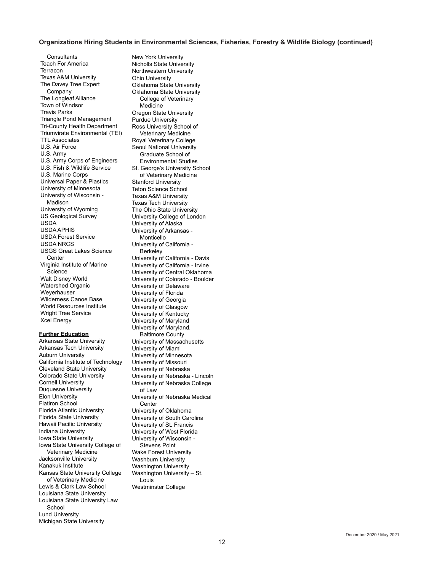#### **Organizations Hiring Students in Environmental Sciences, Fisheries, Forestry & Wildlife Biology (continued)**

**Consultants** Teach For America **Terracon** Texas A&M University The Davey Tree Expert Company The Longleaf Alliance Town of Windsor Travis Parks Triangle Pond Management Tri-County Health Department Triumvirate Environmental (TEI) TTL Associates U.S. Air Force U.S. Army U.S. Army Corps of Engineers U.S. Fish & Wildlife Service U.S. Marine Corps Universal Paper & Plastics University of Minnesota University of Wisconsin - Madison University of Wyoming US Geological Survey USDA USDA APHIS USDA Forest Service USDA NRCS USGS Great Lakes Science **Center** Virginia Institute of Marine Science Walt Disney World Watershed Organic Weyerhauser Wilderness Canoe Base World Resources Institute Wright Tree Service Xcel Energy

#### **Further Education**

Arkansas State University Arkansas Tech University Auburn University California Institute of Technology Cleveland State University Colorado State University Cornell University Duquesne University Elon University Flatiron School Florida Atlantic University Florida State University Hawaii Pacific University Indiana University Iowa State University Iowa State University College of Veterinary Medicine Jacksonville University Kanakuk Institute Kansas State University College of Veterinary Medicine Lewis & Clark Law School Louisiana State University Louisiana State University Law School Lund University Michigan State University

New York University Nicholls State University Northwestern University Ohio University Oklahoma State University Oklahoma State University College of Veterinary Medicine Oregon State University Purdue University Ross University School of Veterinary Medicine Royal Veterinary College Seoul National University Graduate School of Environmental Studies St. George's University School of Veterinary Medicine Stanford University Teton Science School Texas A&M University Texas Tech University The Ohio State University University College of London University of Alaska University of Arkansas - Monticello University of California - Berkeley University of California - Davis University of California - Irvine University of Central Oklahoma University of Colorado - Boulder University of Delaware University of Florida University of Georgia University of Glasgow University of Kentucky University of Maryland University of Maryland, Baltimore County University of Massachusetts University of Miami University of Minnesota University of Missouri University of Nebraska University of Nebraska - Lincoln University of Nebraska College of Law University of Nebraska Medical **Center** University of Oklahoma University of South Carolina University of St. Francis University of West Florida University of Wisconsin - Stevens Point Wake Forest University Washburn University Washington University Washington University – St. Louis Westminster College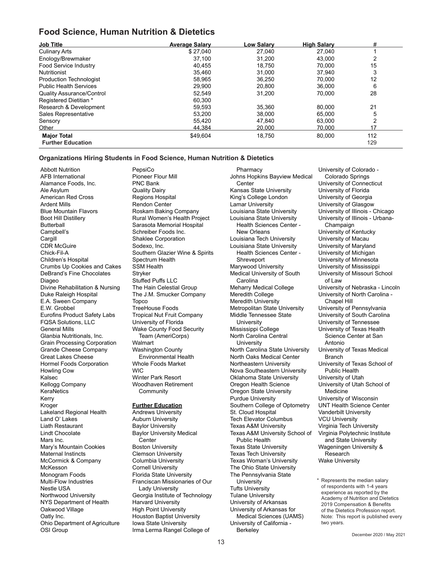## **Food Science, Human Nutrition & Dietetics**

| <b>Job Title</b>                 | <b>Average Salary</b> | Low Salarv | <b>High Salary</b> | #   |
|----------------------------------|-----------------------|------------|--------------------|-----|
| <b>Culinary Arts</b>             | \$27.040              | 27,040     | 27.040             |     |
| Enology/Brewmaker                | 37,100                | 31.200     | 43.000             | 2   |
| <b>Food Service Industry</b>     | 40.455                | 18.750     | 70.000             | 15  |
| <b>Nutritionist</b>              | 35.460                | 31,000     | 37,940             | 3   |
| <b>Production Technologist</b>   | 58.965                | 36.250     | 70.000             | 12  |
| <b>Public Health Services</b>    | 29,900                | 20.800     | 36.000             | 6   |
| <b>Quality Assurance/Control</b> | 52.549                | 31.200     | 70.000             | 28  |
| Registered Dietitian *           | 60.300                |            |                    |     |
| Research & Development           | 59,593                | 35,360     | 80.000             | 21  |
| Sales Representative             | 53.200                | 38,000     | 65.000             | 5   |
| Sensory                          | 55.420                | 47.840     | 63.000             | 2   |
| Other                            | 44.384                | 20,000     | 70.000             | 17  |
| <b>Major Total</b>               | \$49,604              | 18,750     | 80,000             | 112 |
| <b>Further Education</b>         |                       |            |                    | 129 |

#### **Organizations Hiring Students in Food Science, Human Nutrition & Dietetics**

PepsiCo

Abbott Nutrition AFB International Alamance Foods, Inc. Ale Asylum American Red Cross Ardent Mills Blue Mountain Flavors Boot Hill Distillery **Butterball** Campbell's **Cargill** CDR McGuire Chick-Fil-A Children's Hospital Crumbs Up Cookies and Cakes DeBrand's Fine Chocolates Diageo Divine Rehabilitation & Nursing Duke Raleigh Hospital E.A. Sween Company E.W. Grobbel Eurofins Product Safety Labs FQSA Solutions, LLC General Mills Glanbia Nutritionals, Inc. Grain Processing Corporation Grande Cheese Company Great Lakes Cheese Hormel Foods Corporation Howling Cow Kalsec Kellogg Company **KeraNetics** Kerry Kroger Lakeland Regional Health Land O' Lakes Liath Restaurant Lindt Chocolate Mars Inc. Mary's Mountain Cookies Maternal Instincts McCormick & Company McKesson Monogram Foods Multi-Flow Industries Nestle USA Northwood University NYS Department of Health Oakwood Village Oatly Inc. Ohio Department of Agriculture OSI Group

Pioneer Flour Mill PNC Bank Quality Dairy Regions Hospital Rendon Center Roskam Baking Company Rural Women's Health Project Sarasota Memorial Hospital Schreiber Foods Inc. Shaklee Corporation Sodexo, Inc. Southern Glazier Wine & Spirits Spectrum Health SSM Health Stryker Stuffed Puffs LLC The Hain Celestial Group The J.M. Smucker Company Topco TreeHouse Foods Tropical Nut Fruit Company University of Florida Wake County Food Security Team (AmeriCorps) Walmart Washington County Environmental Health Whole Foods Market WIC Winter Park Resort Woodhaven Retirement **Community** 

### **Further Education**

Andrews University Auburn University Baylor University Baylor University Medical **Center** Boston University Clemson University Columbia University Cornell University Florida State University Franciscan Missionaries of Our Lady University Georgia Institute of Technology Harvard University High Point University Houston Baptist University Iowa State University Irma Lerma Rangel College of Berkeley<br>December 2020 / May 2021

**Pharmacy** Johns Hopkins Bayview Medical Center Kansas State University King's College London Lamar University Louisiana State University Louisiana State University Health Sciences Center - New Orleans Louisiana Tech University Louisiana State University Health Sciences Center - Shreveport Marywood University Medical University of South Carolina Meharry Medical College Meredith College Meredith University Metropolitan State University Middle Tennessee State University Mississippi College North Carolina Central **University** North Carolina State University North Oaks Medical Center Northeastern University Nova Southeastern University Oklahoma State University Oregon Health Science Oregon State University Purdue University Southern College of Optometry St. Cloud Hospital Tech Elevator Columbus Texas A&M University Texas A&M University School of Public Health Texas State University Texas Tech University Texas Woman's University The Ohio State University The Pennsylvania State **University** Tufts University Tulane University University of Arkansas University of Arkansas for Medical Sciences (UAMS) University of California - Berkeley

University of Colorado - Colorado Springs University of Connecticut University of Florida University of Georgia University of Glasgow University of Illinois - Chicago University of Illinois - Urbana-Champaign University of Kentucky University of Macau University of Maryland University of Michigan University of Minnesota University of Mississippi University of Missouri School of Law University of Nebraska - Lincoln University of North Carolina - Chapel Hill University of Pennsylvania University of South Carolina University of Tennessee University of Texas Health Science Center at San Antonio University of Texas Medical Branch University of Texas School of Public Health University of Utah University of Utah School of Medicine University of Wisconsin UNT Health Science Center Vanderbilt University VCU University Virginia Tech University Virginia Polytechnic Institute and State University Wageningen University & Research Wake University

Represents the median salary of respondents with 1-4 years experience as reported by the Academy of Nutrition and Dietetics 2019 Compensation & Benefits of the Dietetics Profession report. Note: This report is published every two years.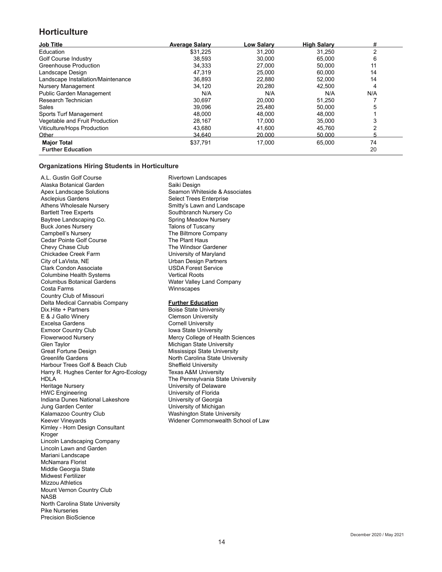## **Horticulture**

| <b>Job Title</b>                   | <b>Average Salary</b> | Low Salarv | <b>High Salary</b> | #   |
|------------------------------------|-----------------------|------------|--------------------|-----|
| Education                          | \$31.225              | 31,200     | 31.250             | っ   |
| Golf Course Industry               | 38,593                | 30,000     | 65,000             | 6   |
| <b>Greenhouse Production</b>       | 34.333                | 27.000     | 50.000             | 11  |
| Landscape Design                   | 47.319                | 25,000     | 60,000             | 14  |
| Landscape Installation/Maintenance | 36,893                | 22,880     | 52,000             | 14  |
| <b>Nursery Management</b>          | 34.120                | 20,280     | 42.500             | 4   |
| <b>Public Garden Management</b>    | N/A                   | N/A        | N/A                | N/A |
| Research Technician                | 30,697                | 20,000     | 51,250             |     |
| Sales                              | 39,096                | 25,480     | 50,000             | 5   |
| Sports Turf Management             | 48.000                | 48,000     | 48.000             |     |
| Vegetable and Fruit Production     | 28.167                | 17.000     | 35.000             |     |
| Viticulture/Hops Production        | 43,680                | 41,600     | 45,760             |     |
| Other                              | 34.640                | 20.000     | 50.000             |     |
| <b>Major Total</b>                 | \$37,791              | 17,000     | 65,000             | 74  |
| <b>Further Education</b>           |                       |            |                    | 20  |

#### **Organizations Hiring Students in Horticulture**

A.L. Gustin Golf Course Alaska Botanical Garden Apex Landscape Solutions Asclepius Gardens Athens Wholesale Nursery Bartlett Tree Experts Baytree Landscaping Co. Buck Jones Nursery Campbell's Nursery Cedar Pointe Golf Course Chevy Chase Club Chickadee Creek Farm City of LaVista, NE Clark Condon Associate Columbine Health Systems Columbus Botanical Gardens Costa Farms Country Club of Missouri Delta Medical Cannabis Company Dix.Hite + Partners E & J Gallo Winery Excelsa Gardens Exmoor Country Club Flowerwood Nursery Glen Taylor Great Fortune Design Greenlife Gardens Harbour Trees Golf & Beach Club Harry R. Hughes Center for Agro-Ecology HDLA Heritage Nursery HWC Engineering Indiana Dunes National Lakeshore Jung Garden Center Kalamazoo Country Club Keever Vineyards Kimley - Horn Design Consultant Kroger Lincoln Landscaping Company Lincoln Lawn and Garden Mariani Landscape McNamara Florist Middle Georgia State Midwest Fertilizer Mizzou Athletics Mount Vernon Country Club NASB North Carolina State University Pike Nurseries Precision BioScience

Rivertown Landscapes Saiki Design Seamon Whiteside & Associates Select Trees Enterprise Smitty's Lawn and Landscape Southbranch Nursery Co Spring Meadow Nursery Talons of Tuscany The Biltmore Company The Plant Haus The Windsor Gardener University of Maryland Urban Design Partners USDA Forest Service Vertical Roots Water Valley Land Company **Winnscapes** 

#### **Further Education**

Boise State University Clemson University Cornell University Iowa State University Mercy College of Health Sciences Michigan State University Mississippi State University North Carolina State University Sheffield University Texas A&M University The Pennsylvania State University University of Delaware University of Florida University of Georgia University of Michigan Washington State University Widener Commonwealth School of Law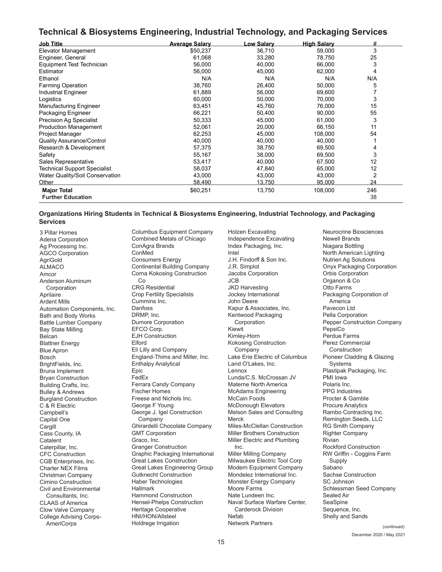## **Technical & Biosystems Engineering, Industrial Technology, and Packaging Services**

| <b>Job Title</b>                    | <b>Average Salary</b> | Low Salarv | <b>High Salary</b> | #   |
|-------------------------------------|-----------------------|------------|--------------------|-----|
| Elevator Management                 | \$50,237              | 36,710     | 59,000             | 3   |
| Engineer, General                   | 61,068                | 33,280     | 78,750             | 25  |
| Equipment Test Technician           | 56,000                | 40,000     | 66,000             | 3   |
| Estimator                           | 56,000                | 45,000     | 62,000             | 4   |
| Ethanol                             | N/A                   | N/A        | N/A                | N/A |
| <b>Farming Operation</b>            | 38,760                | 26,400     | 50,000             | 5   |
| <b>Industrial Engineer</b>          | 61,889                | 56,000     | 69,600             |     |
| Logistics                           | 60,000                | 50,000     | 70,000             | 3   |
| <b>Manufacturing Engineer</b>       | 63,451                | 45,760     | 76,000             | 15  |
| Packaging Engineer                  | 66,221                | 50,400     | 90,000             | 55  |
| <b>Precision Ag Specialist</b>      | 50,333                | 45,000     | 61,000             | 3   |
| <b>Production Management</b>        | 52,061                | 20,000     | 66,150             | 11  |
| Project Manager                     | 62,253                | 45,000     | 108,000            | 54  |
| <b>Quality Assurance/Control</b>    | 40,000                | 40,000     | 40,000             |     |
| Research & Development              | 57,375                | 38,750     | 69,500             |     |
| Safety                              | 55,167                | 38,000     | 69,500             | 3   |
| Sales Representative                | 53,417                | 40,000     | 67,500             | 12  |
| <b>Technical Support Specialist</b> | 58,037                | 47,840     | 65,000             | 12  |
| Water Quality/Soil Conservation     | 43,000                | 43,000     | 43,000             | 2   |
| Other                               | 58,490                | 13,750     | 95,000             | 24  |
| <b>Major Total</b>                  | \$60,251              | 13,750     | 108,000            | 246 |
| <b>Further Education</b>            |                       |            |                    | 38  |

#### **Organizations Hiring Students in Technical & Biosystems Engineering, Industrial Technology, and Packaging Services**

3 Pillar Homes Adena Corporation Ag Processing Inc. AGCO Corporation **AgriGold** ALMACO Amcor Anderson Aluminum **Corporation** Aprilaire Ardent Mills Automation Components, Inc. Bath and Body Works Battle Lumber Company Bay State Milling Belcan Blattner Energy Blue Apron Bosch BrightFields, Inc. Bruna Implement Bryan Construction Building Crafts, Inc. Bulley & Andrews Burgland Construction C & R Electric Campbell's Capital One **Cargill** Cass County, IA **Catalent** Caterpillar, Inc. CFC Construction CGB Enterprises, Inc. Charter NEX Films Christman Company Cimino Construction Civil and Environmental Consultants, Inc. CLAAS of America Clow Valve Company College Advising Corps-AmeriCorps Holdrege Irrigation Network Partners <sub>(continued)</sub>

Combined Metals of Chicago ConAgra Brands ConMed Consumers Energy Continental Building Company Corna Kokosing Construction Co CRG Residential Crop Fertility Specialists Cummins Inc. Danfoss DRMP, Inc. Dumore Corporation EFCO Corp. EJH Construction Elford Eli Lilly and Company England-Thims and Miller, Inc. Enthalpy Analytical Epic FedEx Ferrara Candy Company Fischer Homes Freese and Nichols Inc. George F Young George J. Igel Construction Company Ghirardelli Chocolate Company GMT Corporation Graco, Inc. Granger Construction Graphic Packaging International Great Lakes Construction Great Lakes Engineering Group Gutknecht Construction Haber Technologies Hallmark Hammond Construction Hensel-Phelps Construction Heritage Cooperative HNI/HON/Allsteel

Holdrege Irrigation

Columbus Equipment Company

Holzen Excavating Independence Excavating Index Packaging, Inc. Intel J.H. Findorff & Son Inc. J.R. Simplot Jacobs Corporation JCB JKD Harvesting Jockey International John Deere Kapur & Associates, Inc. Kentwood Packaging Corporation Kiewit Kimley-Horn Kokosing Construction Company Lake Erie Electric of Columbus Land O'Lakes, Inc. Lennox Lunda/C.S. McCrossan JV Materne North America McAdams Engineering McCain Foods McDonough Elevators Melson Sales and Consulting Merck Miles-McClellan Construction Miller Brothers Construction Miller Electric and Plumbing Inc. Miller Milling Company Milwaukee Electric Tool Corp Modern Equipment Company Mondelez International Inc. Monster Energy Company Moore Farms Nate Lundeen Inc. Naval Surface Warfare Center, Carderock Division Nefab Network Partners

Neurocrine Biosciences Newell Brands Niagara Bottling North American Lighting Nutrien Ag Solutions Onyx Packaging Corporation Orbis Corporation Organon & Co Otto Farms Packaging Corporation of America Pavecon Ltd Pella Corporation Pepper Construction Company PensiCo Perdue Farms Perez Commercial Construction Pioneer Cladding & Glazing Systems Plastipak Packaging, Inc. PMI Iowa Polaris Inc. PPG Industries Procter & Gamble Procure Analytics Rambo Contracting Inc. Remington Seeds, LLC RG Smith Company Righter Company Rivian Rockford Construction RW Griffin - Coggins Farm **Supply** Sabano Sachse Construction SC Johnson Schlessman Seed Company Sealed Air **SeaSpine** Sequence, Inc. Shelly and Sands

December 2020 / May 2021